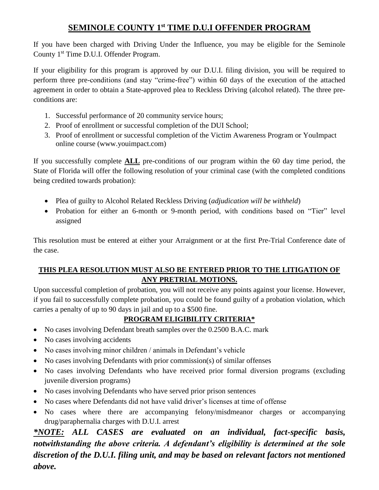## **SEMINOLE COUNTY 1 st TIME D.U.I OFFENDER PROGRAM**

If you have been charged with Driving Under the Influence, you may be eligible for the Seminole County 1<sup>st</sup> Time D.U.I. Offender Program.

If your eligibility for this program is approved by our D.U.I. filing division, you will be required to perform three pre-conditions (and stay "crime-free") within 60 days of the execution of the attached agreement in order to obtain a State-approved plea to Reckless Driving (alcohol related). The three preconditions are:

- 1. Successful performance of 20 community service hours;
- 2. Proof of enrollment or successful completion of the DUI School;
- 3. Proof of enrollment or successful completion of the Victim Awareness Program or YouImpact online course (www.youimpact.com)

If you successfully complete **ALL** pre-conditions of our program within the 60 day time period, the State of Florida will offer the following resolution of your criminal case (with the completed conditions being credited towards probation):

- Plea of guilty to Alcohol Related Reckless Driving (*adjudication will be withheld*)
- Probation for either an 6-month or 9-month period, with conditions based on "Tier" level assigned

This resolution must be entered at either your Arraignment or at the first Pre-Trial Conference date of the case.

#### **THIS PLEA RESOLUTION MUST ALSO BE ENTERED PRIOR TO THE LITIGATION OF ANY PRETRIAL MOTIONS.**

Upon successful completion of probation, you will not receive any points against your license. However, if you fail to successfully complete probation, you could be found guilty of a probation violation, which carries a penalty of up to 90 days in jail and up to a \$500 fine.

### **PROGRAM ELIGIBILITY CRITERIA\***

- No cases involving Defendant breath samples over the 0.2500 B.A.C. mark
- No cases involving accidents
- No cases involving minor children / animals in Defendant's vehicle
- No cases involving Defendants with prior commission(s) of similar offenses
- No cases involving Defendants who have received prior formal diversion programs (excluding juvenile diversion programs)
- No cases involving Defendants who have served prior prison sentences
- No cases where Defendants did not have valid driver's licenses at time of offense
- No cases where there are accompanying felony/misdmeanor charges or accompanying drug/paraphernalia charges with D.U.I. arrest

*\*NOTE: ALL CASES are evaluated on an individual, fact-specific basis, notwithstanding the above criteria. A defendant's eligibility is determined at the sole discretion of the D.U.I. filing unit, and may be based on relevant factors not mentioned above.*